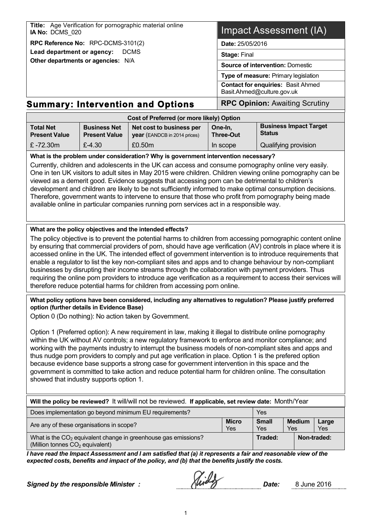| Title: Age Verification for pornographic material online<br>IA No: DCMS 020 | <b>Impact Assessment (IA)</b>                                           |  |  |
|-----------------------------------------------------------------------------|-------------------------------------------------------------------------|--|--|
| RPC Reference No: RPC-DCMS-3101(2)                                          | <b>Date: 25/05/2016</b>                                                 |  |  |
| Lead department or agency:<br><b>DCMS</b>                                   | <b>Stage: Final</b>                                                     |  |  |
| Other departments or agencies: N/A                                          | <b>Source of intervention: Domestic</b>                                 |  |  |
|                                                                             | Type of measure: Primary legislation                                    |  |  |
|                                                                             | <b>Contact for enquiries: Basit Ahmed</b><br>Basit.Ahmed@culture.gov.uk |  |  |
| Summary: Intervention and Ontione                                           | <b>RPC Oninion:</b> Awaiting Scrutiny                                   |  |  |

# **Summary: Intervention and Options RPC Opinion:** Awaiting Scrutiny

| Cost of Preferred (or more likely) Option |                                             |                                                                 |                             |                                         |  |
|-------------------------------------------|---------------------------------------------|-----------------------------------------------------------------|-----------------------------|-----------------------------------------|--|
| <b>Total Net</b><br><b>Present Value</b>  | <b>Business Net</b><br><b>Present Value</b> | Net cost to business per<br><b>year</b> (EANDCB in 2014 prices) | One-In.<br><b>Three-Out</b> | <b>Business Impact Target</b><br>Status |  |
| £ -72.30m                                 | $£-4.30$                                    | £0.50m                                                          | In scope                    | Qualifying provision                    |  |

**What is the problem under consideration? Why is government intervention necessary?**

Currently, children and adolescents in the UK can access and consume pornography online very easily. One in ten UK visitors to adult sites in May 2015 were children. Children viewing online pornography can be viewed as a demerit good. Evidence suggests that accessing porn can be detrimental to children's development and children are likely to be not sufficiently informed to make optimal consumption decisions. Therefore, government wants to intervene to ensure that those who profit from pornography being made available online in particular companies running porn services act in a responsible way.

#### **What are the policy objectives and the intended effects?**

The policy objective is to prevent the potential harms to children from accessing pornographic content online by ensuring that commercial providers of porn, should have age verification (AV) controls in place where it is accessed online in the UK. The intended effect of government intervention is to introduce requirements that enable a regulator to list the key non-compliant sites and apps and to change behaviour by non-compliant businesses by disrupting their income streams through the collaboration with payment providers. Thus requiring the online porn providers to introduce age verification as a requirement to access their services will therefore reduce potential harms for children from accessing porn online.

#### **What policy options have been considered, including any alternatives to regulation? Please justify preferred option (further details in Evidence Base)**

Option 0 (Do nothing): No action taken by Government.

Option 1 (Preferred option): A new requirement in law, making it illegal to distribute online pornography within the UK without AV controls; a new regulatory framework to enforce and monitor compliance; and working with the payments industry to interrupt the business models of non-compliant sites and apps and thus nudge porn providers to comply and put age verification in place. Option 1 is the prefered option because evidence base supports a strong case for government intervention in this space and the government is committed to take action and reduce potential harm for children online. The consultation showed that industry supports option 1.

| Will the policy be reviewed? It will/will not be reviewed. If applicable, set review date: Month/Year           |                     |                            |                      |              |  |
|-----------------------------------------------------------------------------------------------------------------|---------------------|----------------------------|----------------------|--------------|--|
| Does implementation go beyond minimum EU requirements?                                                          |                     | Yes                        |                      |              |  |
| Are any of these organisations in scope?                                                                        | <b>Micro</b><br>Yes | <b>Small</b><br><b>Yes</b> | <b>Medium</b><br>Yes | Large<br>Yes |  |
| What is the $CO2$ equivalent change in greenhouse gas emissions?<br>(Million tonnes CO <sub>2</sub> equivalent) |                     |                            |                      | Non-traded:  |  |

*I have read the Impact Assessment and I am satisfied that (a) it represents a fair and reasonable view of the expected costs, benefits and impact of the policy, and (b) that the benefits justify the costs.*

*Signed by the responsible Minister : Date:* 8 June 2016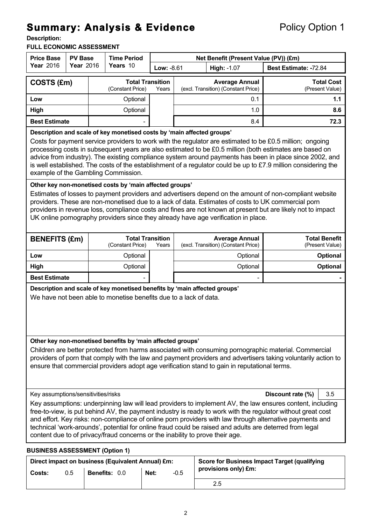# **Summary: Analysis & Evidence** Policy Option 1<br> **Description:**

#### **FULL ECONOMIC ASSESSMENT**

| <b>Price Base</b><br><b>PV Base</b>                                                                                                                                                                                                                                                                                                                                                                                                                                                                                                                                       |                                                                                                                                                                                                                                                                                                                                                                                                                                                                                                                                                                   | <b>Time Period</b> |                                             | Net Benefit (Present Value (PV)) (£m) |                                                              |                                                              |                                      |                                         |
|---------------------------------------------------------------------------------------------------------------------------------------------------------------------------------------------------------------------------------------------------------------------------------------------------------------------------------------------------------------------------------------------------------------------------------------------------------------------------------------------------------------------------------------------------------------------------|-------------------------------------------------------------------------------------------------------------------------------------------------------------------------------------------------------------------------------------------------------------------------------------------------------------------------------------------------------------------------------------------------------------------------------------------------------------------------------------------------------------------------------------------------------------------|--------------------|---------------------------------------------|---------------------------------------|--------------------------------------------------------------|--------------------------------------------------------------|--------------------------------------|-----------------------------------------|
| <b>Year 2016</b>                                                                                                                                                                                                                                                                                                                                                                                                                                                                                                                                                          | <b>Year 2016</b>                                                                                                                                                                                                                                                                                                                                                                                                                                                                                                                                                  |                    | Years 10                                    |                                       | High: -1.07<br>Low: -8.61                                    |                                                              | Best Estimate: -72.84                |                                         |
| COSTS (£m)                                                                                                                                                                                                                                                                                                                                                                                                                                                                                                                                                                |                                                                                                                                                                                                                                                                                                                                                                                                                                                                                                                                                                   |                    | <b>Total Transition</b><br>(Constant Price) | Years                                 | <b>Average Annual</b><br>(excl. Transition) (Constant Price) |                                                              | <b>Total Cost</b><br>(Present Value) |                                         |
| Low                                                                                                                                                                                                                                                                                                                                                                                                                                                                                                                                                                       |                                                                                                                                                                                                                                                                                                                                                                                                                                                                                                                                                                   |                    | Optional                                    |                                       |                                                              | 0.1                                                          |                                      | 1.1                                     |
| High                                                                                                                                                                                                                                                                                                                                                                                                                                                                                                                                                                      |                                                                                                                                                                                                                                                                                                                                                                                                                                                                                                                                                                   |                    | Optional                                    |                                       |                                                              | 1.0                                                          |                                      | 8.6                                     |
| <b>Best Estimate</b>                                                                                                                                                                                                                                                                                                                                                                                                                                                                                                                                                      |                                                                                                                                                                                                                                                                                                                                                                                                                                                                                                                                                                   |                    |                                             |                                       |                                                              | 8.4                                                          |                                      | 72.3                                    |
|                                                                                                                                                                                                                                                                                                                                                                                                                                                                                                                                                                           | Description and scale of key monetised costs by 'main affected groups'<br>Costs for payment service providers to work with the regulator are estimated to be £0.5 million; ongoing<br>processing costs in subsequent years are also estimated to be £0.5 million (both estimates are based on<br>advice from industry). The existing compliance system around payments has been in place since 2002, and<br>is well established. The costs of the establishment of a regulator could be up to £7.9 million considering the<br>example of the Gambling Commission. |                    |                                             |                                       |                                                              |                                                              |                                      |                                         |
|                                                                                                                                                                                                                                                                                                                                                                                                                                                                                                                                                                           | Other key non-monetised costs by 'main affected groups'<br>Estimates of losses to payment providers and advertisers depend on the amount of non-compliant website<br>providers. These are non-monetised due to a lack of data. Estimates of costs to UK commercial porn<br>providers in revenue loss, compliance costs and fines are not known at present but are likely not to impact<br>UK online pornography providers since they already have age verification in place.                                                                                      |                    |                                             |                                       |                                                              |                                                              |                                      |                                         |
| <b>BENEFITS (£m)</b>                                                                                                                                                                                                                                                                                                                                                                                                                                                                                                                                                      |                                                                                                                                                                                                                                                                                                                                                                                                                                                                                                                                                                   |                    | <b>Total Transition</b><br>(Constant Price) | Years                                 |                                                              | <b>Average Annual</b><br>(excl. Transition) (Constant Price) |                                      | <b>Total Benefit</b><br>(Present Value) |
| Low                                                                                                                                                                                                                                                                                                                                                                                                                                                                                                                                                                       |                                                                                                                                                                                                                                                                                                                                                                                                                                                                                                                                                                   |                    | Optional                                    |                                       |                                                              | Optional                                                     |                                      | <b>Optional</b>                         |
| High                                                                                                                                                                                                                                                                                                                                                                                                                                                                                                                                                                      |                                                                                                                                                                                                                                                                                                                                                                                                                                                                                                                                                                   |                    | Optional                                    |                                       | Optional                                                     |                                                              |                                      | <b>Optional</b>                         |
| <b>Best Estimate</b>                                                                                                                                                                                                                                                                                                                                                                                                                                                                                                                                                      |                                                                                                                                                                                                                                                                                                                                                                                                                                                                                                                                                                   |                    |                                             |                                       |                                                              |                                                              |                                      |                                         |
| Description and scale of key monetised benefits by 'main affected groups'<br>We have not been able to monetise benefits due to a lack of data.                                                                                                                                                                                                                                                                                                                                                                                                                            |                                                                                                                                                                                                                                                                                                                                                                                                                                                                                                                                                                   |                    |                                             |                                       |                                                              |                                                              |                                      |                                         |
| Other key non-monetised benefits by 'main affected groups'<br>Children are better protected from harms associated with consuming pornographic material. Commercial<br>providers of porn that comply with the law and payment providers and advertisers taking voluntarily action to<br>ensure that commercial providers adopt age verification stand to gain in reputational terms.                                                                                                                                                                                       |                                                                                                                                                                                                                                                                                                                                                                                                                                                                                                                                                                   |                    |                                             |                                       |                                                              |                                                              |                                      |                                         |
| Key assumptions/sensitivities/risks<br>3.5<br>Discount rate (%)                                                                                                                                                                                                                                                                                                                                                                                                                                                                                                           |                                                                                                                                                                                                                                                                                                                                                                                                                                                                                                                                                                   |                    |                                             |                                       |                                                              |                                                              |                                      |                                         |
| Key assumptions: underpinning law will lead providers to implement AV, the law ensures content, including<br>free-to-view, is put behind AV, the payment industry is ready to work with the regulator without great cost<br>and effort. Key risks: non-compliance of online porn providers with law through alternative payments and<br>technical 'work-arounds', potential for online fraud could be raised and adults are deterred from legal<br>content due to of privacy/fraud concerns or the inability to prove their age.<br><b>BUSINESS ASSESSMENT (Option 1)</b> |                                                                                                                                                                                                                                                                                                                                                                                                                                                                                                                                                                   |                    |                                             |                                       |                                                              |                                                              |                                      |                                         |

| Direct impact on business (Equivalent Annual) £m: |     |                      |      | <b>Score for Business Impact Target (qualifying</b> |                      |
|---------------------------------------------------|-----|----------------------|------|-----------------------------------------------------|----------------------|
| Costs:                                            | 0.5 | <b>Benefits: 0.0</b> | Net: | $-0.5$                                              | provisions only) £m: |
|                                                   |     |                      |      |                                                     | 2.5                  |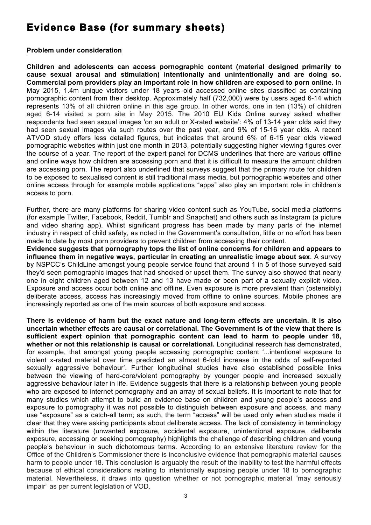# **Evidence Base (for summary sheets)**

#### **Problem under consideration**

**Children and adolescents can access pornographic content (material designed primarily to cause sexual arousal and stimulation) intentionally and unintentionally and are doing so. Commercial porn providers play an important role in how children are exposed to porn online.** In May 2015, 1.4m unique visitors under 18 years old accessed online sites classified as containing pornographic content from their desktop. Approximately half (732,000) were by users aged 6-14 which represents 13% of all children online in this age group. In other words, one in ten (13%) of children aged 6-14 visited a porn site in May 2015. The 2010 EU Kids Online survey asked whether respondents had seen sexual images 'on an adult or X-rated website': 4% of 13-14 year olds said they had seen sexual images via such routes over the past year, and 9% of 15-16 year olds. A recent ATVOD study offers less detailed figures, but indicates that around 6% of 6-15 year olds viewed pornographic websites within just one month in 2013, potentially suggesting higher viewing figures over the course of a year. The report of the expert panel for DCMS underlines that there are various offline and online ways how children are accessing porn and that it is difficult to measure the amount children are accessing porn. The report also underlined that surveys suggest that the primary route for children to be exposed to sexualised content is still traditional mass media, but pornographic websites and other online access through for example mobile applications "apps" also play an important role in children's access to porn.

Further, there are many platforms for sharing video content such as YouTube, social media platforms (for example Twitter, Facebook, Reddit, Tumblr and Snapchat) and others such as Instagram (a picture and video sharing app). Whilst significant progress has been made by many parts of the internet industry in respect of child safety, as noted in the Government's consultation, little or no effort has been made to date by most porn providers to prevent children from accessing their content.

**Evidence suggests that pornography tops the list of online concerns for children and appears to influence them in negative ways, particular in creating an unrealistic image about sex**. A survey by NSPCC's ChildLine amongst young people service found that around 1 in 5 of those surveyed said they'd seen pornographic images that had shocked or upset them. The survey also showed that nearly one in eight children aged between 12 and 13 have made or been part of a sexually explicit video. Exposure and access occur both online and offline. Even exposure is more prevalent than (ostensibly) deliberate access, access has increasingly moved from offline to online sources. Mobile phones are increasingly reported as one of the main sources of both exposure and access.

**There is evidence of harm but the exact nature and long-term effects are uncertain. It is also uncertain whether effects are causal or correlational. The Government is of the view that there is sufficient expert opinion that pornographic content can lead to harm to people under 18, whether or not this relationship is causal or correlational.** Longitudinal research has demonstrated, for example, that amongst young people accessing pornographic content '...intentional exposure to violent x-rated material over time predicted an almost 6-fold increase in the odds of self-reported sexually aggressive behaviour'. Further longitudinal studies have also established possible links between the viewing of hard-core/violent pornography by younger people and increased sexually aggressive behaviour later in life. Evidence suggests that there is a relationship between young people who are exposed to internet pornography and an array of sexual beliefs. It is important to note that for many studies which attempt to build an evidence base on children and young people's access and exposure to pornography it was not possible to distinguish between exposure and access, and many use "exposure" as a catch-all term; as such, the term "access" will be used only when studies made it clear that they were asking participants about deliberate access. The lack of consistency in terminology within the literature (unwanted exposure, accidental exposure, unintentional exposure, deliberate exposure, accessing or seeking pornography) highlights the challenge of describing children and young people's behaviour in such dichotomous terms. According to an extensive literature review for the Office of the Children's Commissioner there is inconclusive evidence that pornographic material causes harm to people under 18. This conclusion is arguably the result of the inability to test the harmful effects because of ethical considerations relating to intentionally exposing people under 18 to pornographic material. Nevertheless, it draws into question whether or not pornographic material "may seriously impair" as per current legislation of VOD.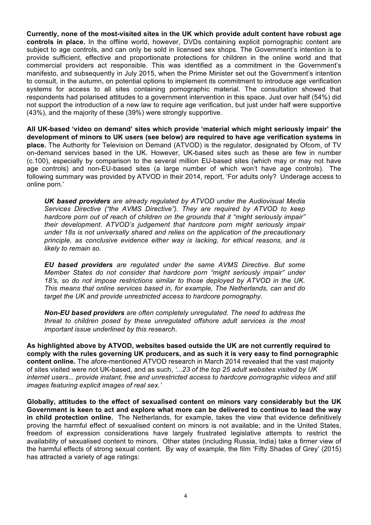**Currently, none of the most-visited sites in the UK which provide adult content have robust age controls in place.** In the offline world, however, DVDs containing explicit pornographic content are subject to age controls, and can only be sold in licensed sex shops. The Government's intention is to provide sufficient, effective and proportionate protections for children in the online world and that commercial providers act responsible. This was identified as a commitment in the Government's manifesto, and subsequently in July 2015, when the Prime Minister set out the Government's intention to consult, in the autumn, on potential options to implement its commitment to introduce age verification systems for access to all sites containing pornographic material. The consultation showed that respondents had polarised attitudes to a government intervention in this space. Just over half (54%) did not support the introduction of a new law to require age verification, but just under half were supportive (43%), and the majority of these (39%) were strongly supportive.

**All UK-based 'video on demand' sites which provide 'material which might seriously impair' the development of minors to UK users (see below) are required to have age verification systems in place.** The Authority for Television on Demand (ATVOD) is the regulator, designated by Ofcom, of TV on-demand services based in the UK. However, UK-based sites such as these are few in number (c.100), especially by comparison to the several million EU-based sites (which may or may not have age controls) and non-EU-based sites (a large number of which won't have age controls). The following summary was provided by ATVOD in their 2014, report, 'For adults only? Underage access to online porn.'

*UK based providers are already regulated by ATVOD under the Audiovisual Media Services Directive ("the AVMS Directive"). They are required by ATVOD to keep hardcore porn out of reach of children on the grounds that it "might seriously impair" their development. ATVOD's judgement that hardcore porn might seriously impair under 18s is not universally shared and relies on the application of the precautionary principle, as conclusive evidence either way is lacking, for ethical reasons, and is likely to remain so.* 

*EU based providers are regulated under the same AVMS Directive. But some Member States do not consider that hardcore porn "might seriously impair" under 18's, so do not impose restrictions similar to those deployed by ATVOD in the UK. This means that online services based in, for example, The Netherlands, can and do target the UK and provide unrestricted access to hardcore pornography.* 

*Non-EU based providers are often completely unregulated. The need to address the threat to children posed by these unregulated offshore adult services is the most important issue underlined by this research*.

**As highlighted above by ATVOD, websites based outside the UK are not currently required to comply with the rules governing UK producers, and as such it is very easy to find pornographic content online.** The afore-mentioned ATVOD research in March 2014 revealed that the vast majority of sites visited were not UK-based, and as such, *'...23 of the top 25 adult websites visited by UK internet users... provide instant, free and unrestricted access to hardcore pornographic videos and still images featuring explicit images of real sex.'*

**Globally, attitudes to the effect of sexualised content on minors vary considerably but the UK Government is keen to act and explore what more can be delivered to continue to lead the way in child protection online.** The Netherlands, for example, takes the view that evidence definitively proving the harmful effect of sexualised content on minors is not available; and in the United States, freedom of expression considerations have largely frustrated legislative attempts to restrict the availability of sexualised content to minors. Other states (including Russia, India) take a firmer view of the harmful effects of strong sexual content. By way of example, the film 'Fifty Shades of Grey' (2015) has attracted a variety of age ratings: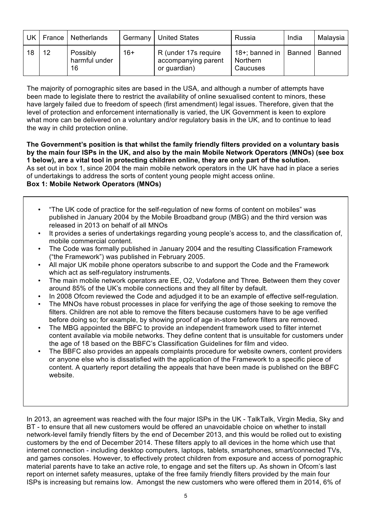| UK |    | France   Netherlands            | Germany | <b>United States</b>                                        | Russia                                             | India  | Malaysia |
|----|----|---------------------------------|---------|-------------------------------------------------------------|----------------------------------------------------|--------|----------|
| 18 | 12 | Possibly<br>harmful under<br>16 | $16+$   | R (under 17s require<br>accompanying parent<br>or guardian) | 18+; banned in $\parallel$<br>Northern<br>Caucuses | Banned | Banned   |

The majority of pornographic sites are based in the USA, and although a number of attempts have been made to legislate there to restrict the availability of online sexualised content to minors, these have largely failed due to freedom of speech (first amendment) legal issues. Therefore, given that the level of protection and enforcement internationally is varied, the UK Government is keen to explore what more can be delivered on a voluntary and/or regulatory basis in the UK, and to continue to lead the way in child protection online.

**The Government's position is that whilst the family friendly filters provided on a voluntary basis by the main four ISPs in the UK, and also by the main Mobile Network Operators (MNOs) (see box 1 below), are a vital tool in protecting children online, they are only part of the solution.** As set out in box 1, since 2004 the main mobile network operators in the UK have had in place a series of undertakings to address the sorts of content young people might access online. **Box 1: Mobile Network Operators (MNOs)**

- "The UK code of practice for the self-regulation of new forms of content on mobiles" was published in January 2004 by the Mobile Broadband group (MBG) and the third version was released in 2013 on behalf of all MNOs
- It provides a series of undertakings regarding young people's access to, and the classification of, mobile commercial content.
- The Code was formally published in January 2004 and the resulting Classification Framework ("the Framework") was published in February 2005.
- All major UK mobile phone operators subscribe to and support the Code and the Framework which act as self-regulatory instruments.
- The main mobile network operators are EE, O2, Vodafone and Three. Between them they cover around 85% of the UK's mobile connections and they all filter by default.
- In 2008 Ofcom reviewed the Code and adjudged it to be an example of effective self-regulation.
- The MNOs have robust processes in place for verifying the age of those seeking to remove the filters. Children are not able to remove the filters because customers have to be age verified before doing so; for example, by showing proof of age in-store before filters are removed.
- The MBG appointed the BBFC to provide an independent framework used to filter internet content available via mobile networks. They define content that is unsuitable for customers under the age of 18 based on the BBFC's Classification Guidelines for film and video.
- The BBFC also provides an appeals complaints procedure for website owners, content providers or anyone else who is dissatisfied with the application of the Framework to a specific piece of content. A quarterly report detailing the appeals that have been made is published on the BBFC website.

In 2013, an agreement was reached with the four major ISPs in the UK - TalkTalk, Virgin Media, Sky and BT - to ensure that all new customers would be offered an unavoidable choice on whether to install network-level family friendly filters by the end of December 2013, and this would be rolled out to existing customers by the end of December 2014. These filters apply to all devices in the home which use that internet connection - including desktop computers, laptops, tablets, smartphones, smart/connected TVs, and games consoles. However, to effectively protect children from exposure and access of pornographic material parents have to take an active role, to engage and set the filters up. As shown in Ofcom's last report on internet safety measures, uptake of the free family friendly filters provided by the main four ISPs is increasing but remains low. Amongst the new customers who were offered them in 2014, 6% of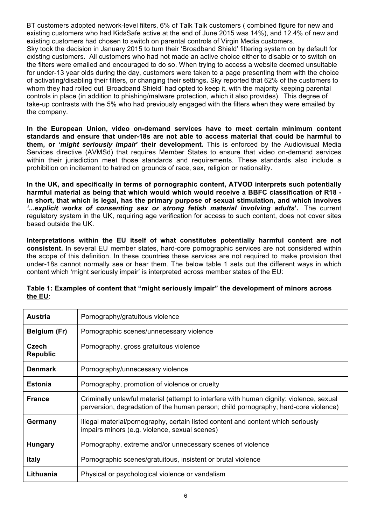BT customers adopted network-level filters, 6% of Talk Talk customers ( combined figure for new and existing customers who had KidsSafe active at the end of June 2015 was 14%), and 12.4% of new and existing customers had chosen to switch on parental controls of Virgin Media customers. Sky took the decision in January 2015 to turn their 'Broadband Shield' filtering system on by default for existing customers. All customers who had not made an active choice either to disable or to switch on the filters were emailed and encouraged to do so. When trying to access a website deemed unsuitable for under-13 year olds during the day, customers were taken to a page presenting them with the choice of activating/disabling their filters, or changing their settings**.** Sky reported that 62% of the customers to whom they had rolled out 'Broadband Shield' had opted to keep it, with the majority keeping parental controls in place (in addition to phishing/malware protection, which it also provides). This degree of take-up contrasts with the 5% who had previously engaged with the filters when they were emailed by the company.

**In the European Union, video on-demand services have to meet certain minimum content standards and ensure that under-18s are not able to access material that could be harmful to them, or '***might seriously impair***' their development.** This is enforced by the Audiovisual Media Services directive (AVMSd) that requires Member States to ensure that video on-demand services within their jurisdiction meet those standards and requirements. These standards also include a prohibition on incitement to hatred on grounds of race, sex, religion or nationality.

**In the UK, and specifically in terms of pornographic content, ATVOD interprets such potentially harmful material as being that which would which would receive a BBFC classification of R18 in short, that which is legal, has the primary purpose of sexual stimulation, and which involves**  *'...explicit works of consenting sex or strong fetish material involving adults***'.** The current regulatory system in the UK, requiring age verification for access to such content, does not cover sites based outside the UK.

**Interpretations within the EU itself of what constitutes potentially harmful content are not consistent.** In several EU member states, hard-core pornographic services are not considered within the scope of this definition. In these countries these services are not required to make provision that under-18s cannot normally see or hear them. The below table 1 sets out the different ways in which content which 'might seriously impair' is interpreted across member states of the EU:

| <b>Austria</b>           | Pornography/gratuitous violence                                                                                                                                                |
|--------------------------|--------------------------------------------------------------------------------------------------------------------------------------------------------------------------------|
| Belgium (Fr)             | Pornographic scenes/unnecessary violence                                                                                                                                       |
| Czech<br><b>Republic</b> | Pornography, gross gratuitous violence                                                                                                                                         |
| <b>Denmark</b>           | Pornography/unnecessary violence                                                                                                                                               |
| <b>Estonia</b>           | Pornography, promotion of violence or cruelty                                                                                                                                  |
| <b>France</b>            | Criminally unlawful material (attempt to interfere with human dignity: violence, sexual<br>perversion, degradation of the human person; child pornography; hard-core violence) |
| Germany                  | Illegal material/pornography, certain listed content and content which seriously<br>impairs minors (e.g. violence, sexual scenes)                                              |
| <b>Hungary</b>           | Pornography, extreme and/or unnecessary scenes of violence                                                                                                                     |
| <b>Italy</b>             | Pornographic scenes/gratuitous, insistent or brutal violence                                                                                                                   |
| Lithuania                | Physical or psychological violence or vandalism                                                                                                                                |

#### **Table 1: Examples of content that "might seriously impair" the development of minors across the EU**: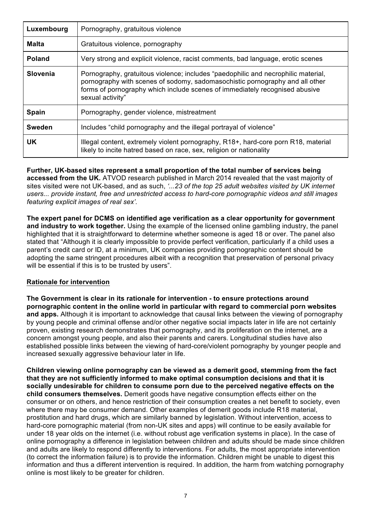| Luxembourg      | Pornography, gratuitous violence                                                                                                                                                                                                                                     |
|-----------------|----------------------------------------------------------------------------------------------------------------------------------------------------------------------------------------------------------------------------------------------------------------------|
| <b>Malta</b>    | Gratuitous violence, pornography                                                                                                                                                                                                                                     |
| <b>Poland</b>   | Very strong and explicit violence, racist comments, bad language, erotic scenes                                                                                                                                                                                      |
| <b>Slovenia</b> | Pornography, gratuitous violence; includes "paedophilic and necrophilic material,<br>pornography with scenes of sodomy, sadomasochistic pornography and all other<br>forms of pornography which include scenes of immediately recognised abusive<br>sexual activity" |
| Spain           | Pornography, gender violence, mistreatment                                                                                                                                                                                                                           |
| <b>Sweden</b>   | Includes "child pornography and the illegal portrayal of violence"                                                                                                                                                                                                   |
| UK.             | Illegal content, extremely violent pornography, R18+, hard-core porn R18, material<br>likely to incite hatred based on race, sex, religion or nationality                                                                                                            |

**Further, UK-based sites represent a small proportion of the total number of services being accessed from the UK.** ATVOD research published in March 2014 revealed that the vast majority of sites visited were not UK-based, and as such, *'...23 of the top 25 adult websites visited by UK internet users... provide instant, free and unrestricted access to hard-core pornographic videos and still images featuring explicit images of real sex'.*

**The expert panel for DCMS on identified age verification as a clear opportunity for government and industry to work together.** Using the example of the licensed online gambling industry, the panel highlighted that it is straightforward to determine whether someone is aged 18 or over. The panel also stated that "Although it is clearly impossible to provide perfect verification, particularly if a child uses a parent's credit card or ID, at a minimum, UK companies providing pornographic content should be adopting the same stringent procedures albeit with a recognition that preservation of personal privacy will be essential if this is to be trusted by users".

#### **Rationale for intervention**

**The Government is clear in its rationale for intervention - to ensure protections around pornographic content in the online world in particular with regard to commercial porn websites and apps.** Although it is important to acknowledge that causal links between the viewing of pornography by young people and criminal offense and/or other negative social impacts later in life are not certainly proven, existing research demonstrates that pornography, and its proliferation on the internet, are a concern amongst young people, and also their parents and carers. Longitudinal studies have also established possible links between the viewing of hard-core/violent pornography by younger people and increased sexually aggressive behaviour later in life.

**Children viewing online pornography can be viewed as a demerit good, stemming from the fact that they are not sufficiently informed to make optimal consumption decisions and that it is socially undesirable for children to consume porn due to the perceived negative effects on the child consumers themselves.** Demerit goods have negative consumption effects either on the consumer or on others, and hence restriction of their consumption creates a net benefit to society, even where there may be consumer demand. Other examples of demerit goods include R18 material, prostitution and hard drugs, which are similarly banned by legislation. Without intervention, access to hard-core pornographic material (from non-UK sites and apps) will continue to be easily available for under 18 year olds on the internet (i.e. without robust age verification systems in place). In the case of online pornography a difference in legislation between children and adults should be made since children and adults are likely to respond differently to interventions. For adults, the most appropriate intervention (to correct the information failure) is to provide the information. Children might be unable to digest this information and thus a different intervention is required. In addition, the harm from watching pornography online is most likely to be greater for children.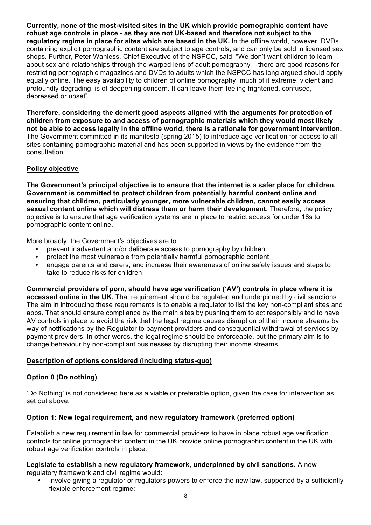**Currently, none of the most-visited sites in the UK which provide pornographic content have robust age controls in place - as they are not UK-based and therefore not subject to the regulatory regime in place for sites which are based in the UK.** In the offline world, however, DVDs containing explicit pornographic content are subject to age controls, and can only be sold in licensed sex shops. Further, Peter Wanless, Chief Executive of the NSPCC, said: "We don't want children to learn about sex and relationships through the warped lens of adult pornography – there are good reasons for restricting pornographic magazines and DVDs to adults which the NSPCC has long argued should apply equally online. The easy availability to children of online pornography, much of it extreme, violent and profoundly degrading, is of deepening concern. It can leave them feeling frightened, confused, depressed or upset".

**Therefore, considering the demerit good aspects aligned with the arguments for protection of children from exposure to and access of pornographic materials which they would most likely not be able to access legally in the offline world, there is a rationale for government intervention.**  The Government committed in its manifesto (spring 2015) to introduce age verification for access to all sites containing pornographic material and has been supported in views by the evidence from the consultation.

# **Policy objective**

**The Government's principal objective is to ensure that the internet is a safer place for children. Government is committed to protect children from potentially harmful content online and ensuring that children, particularly younger, more vulnerable children, cannot easily access sexual content online which will distress them or harm their development.** Therefore, the policy objective is to ensure that age verification systems are in place to restrict access for under 18s to pornographic content online.

More broadly, the Government's objectives are to:

- prevent inadvertent and/or deliberate access to pornography by children
- protect the most vulnerable from potentially harmful pornographic content
- engage parents and carers, and increase their awareness of online safety issues and steps to take to reduce risks for children

**Commercial providers of porn, should have age verification ('AV') controls in place where it is accessed online in the UK.** That requirement should be regulated and underpinned by civil sanctions. The aim in introducing these requirements is to enable a regulator to list the key non-compliant sites and apps. That should ensure compliance by the main sites by pushing them to act responsibly and to have AV controls in place to avoid the risk that the legal regime causes disruption of their income streams by way of notifications by the Regulator to payment providers and consequential withdrawal of services by payment providers. In other words, the legal regime should be enforceable, but the primary aim is to change behaviour by non-compliant businesses by disrupting their income streams.

# **Description of options considered (including status-quo)**

# **Option 0 (Do nothing)**

'Do Nothing' is not considered here as a viable or preferable option, given the case for intervention as set out above.

# **Option 1: New legal requirement, and new regulatory framework (preferred option)**

Establish a new requirement in law for commercial providers to have in place robust age verification controls for online pornographic content in the UK provide online pornographic content in the UK with robust age verification controls in place.

#### **Legislate to establish a new regulatory framework, underpinned by civil sanctions.** A new regulatory framework and civil regime would:

• Involve giving a regulator or regulators powers to enforce the new law, supported by a sufficiently flexible enforcement regime: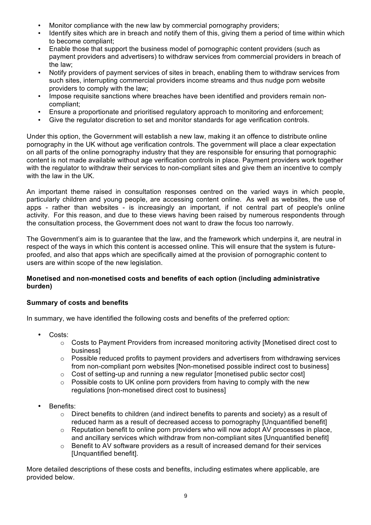- Monitor compliance with the new law by commercial pornography providers;
- Identify sites which are in breach and notify them of this, giving them a period of time within which to become compliant;
- Enable those that support the business model of pornographic content providers (such as payment providers and advertisers) to withdraw services from commercial providers in breach of the law;
- Notify providers of payment services of sites in breach, enabling them to withdraw services from such sites, interrupting commercial providers income streams and thus nudge porn website providers to comply with the law;
- Impose requisite sanctions where breaches have been identified and providers remain noncompliant;
- Ensure a proportionate and prioritised regulatory approach to monitoring and enforcement;
- Give the regulator discretion to set and monitor standards for age verification controls.

Under this option, the Government will establish a new law, making it an offence to distribute online pornography in the UK without age verification controls. The government will place a clear expectation on all parts of the online pornography industry that they are responsible for ensuring that pornographic content is not made available without age verification controls in place. Payment providers work together with the regulator to withdraw their services to non-compliant sites and give them an incentive to comply with the law in the UK.

An important theme raised in consultation responses centred on the varied ways in which people, particularly children and young people, are accessing content online. As well as websites, the use of apps - rather than websites - is increasingly an important, if not central part of people's online activity. For this reason, and due to these views having been raised by numerous respondents through the consultation process, the Government does not want to draw the focus too narrowly.

The Government's aim is to guarantee that the law, and the framework which underpins it, are neutral in respect of the ways in which this content is accessed online. This will ensure that the system is futureproofed, and also that apps which are specifically aimed at the provision of pornographic content to users are within scope of the new legislation.

#### **Monetised and non-monetised costs and benefits of each option (including administrative burden)**

# **Summary of costs and benefits**

In summary, we have identified the following costs and benefits of the preferred option:

- Costs:
	- $\circ$  Costs to Payment Providers from increased monitoring activity [Monetised direct cost to business]
	- $\circ$  Possible reduced profits to payment providers and advertisers from withdrawing services from non-compliant porn websites [Non-monetised possible indirect cost to business]
	- $\circ$  Cost of setting-up and running a new regulator [monetised public sector cost]
	- $\circ$  Possible costs to UK online porn providers from having to comply with the new regulations [non-monetised direct cost to business]
- Benefits:
	- $\circ$  Direct benefits to children (and indirect benefits to parents and society) as a result of reduced harm as a result of decreased access to pornography [Unquantified benefit]
	- o Reputation benefit to online porn providers who will now adopt AV processes in place, and ancillary services which withdraw from non-compliant sites [Unquantified benefit]
	- o Benefit to AV software providers as a result of increased demand for their services [Unquantified benefit].

More detailed descriptions of these costs and benefits, including estimates where applicable, are provided below.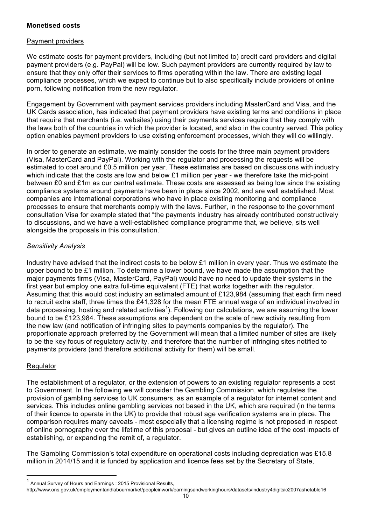#### **Monetised costs**

#### Payment providers

We estimate costs for payment providers, including (but not limited to) credit card providers and digital payment providers (e.g. PayPal) will be low. Such payment providers are currently required by law to ensure that they only offer their services to firms operating within the law. There are existing legal compliance processes, which we expect to continue but to also specifically include providers of online porn, following notification from the new regulator.

Engagement by Government with payment services providers including MasterCard and Visa, and the UK Cards association, has indicated that payment providers have existing terms and conditions in place that require that merchants (i.e. websites) using their payments services require that they comply with the laws both of the countries in which the provider is located, and also in the country served. This policy option enables payment providers to use existing enforcement processes, which they will do willingly.

In order to generate an estimate, we mainly consider the costs for the three main payment providers (Visa, MasterCard and PayPal). Working with the regulator and processing the requests will be estimated to cost around £0.5 million per year. These estimates are based on discussions with industry which indicate that the costs are low and below £1 million per year - we therefore take the mid-point between £0 and £1m as our central estimate. These costs are assessed as being low since the existing compliance systems around payments have been in place since 2002, and are well established. Most companies are international corporations who have in place existing monitoring and compliance processes to ensure that merchants comply with the laws. Further, in the response to the government consultation Visa for example stated that "the payments industry has already contributed constructively to discussions, and we have a well-established compliance programme that, we believe, sits well alongside the proposals in this consultation."

#### *Sensitivity Analysis*

Industry have advised that the indirect costs to be below £1 million in every year. Thus we estimate the upper bound to be £1 million. To determine a lower bound, we have made the assumption that the major payments firms (Visa, MasterCard, PayPal) would have no need to update their systems in the first year but employ one extra full-time equivalent (FTE) that works together with the regulator. Assuming that this would cost industry an estimated amount of £123,984 (assuming that each firm need to recruit extra staff, three times the £41,328 for the mean FTE annual wage of an individual involved in data processing, hosting and related activities<sup>1</sup>). Following our calculations, we are assuming the lower bound to be £123,984. These assumptions are dependent on the scale of new activity resulting from the new law (and notification of infringing sites to payments companies by the regulator). The proportionate approach preferred by the Government will mean that a limited number of sites are likely to be the key focus of regulatory activity, and therefore that the number of infringing sites notified to payments providers (and therefore additional activity for them) will be small.

#### Regulator

The establishment of a regulator, or the extension of powers to an existing regulator represents a cost to Government. In the following we will consider the Gambling Commission, which regulates the provision of gambling services to UK consumers, as an example of a regulator for internet content and services. This includes online gambling services not based in the UK, which are required (in the terms of their licence to operate in the UK) to provide that robust age verification systems are in place. The comparison requires many caveats - most especially that a licensing regime is not proposed in respect of online pornography over the lifetime of this proposal - but gives an outline idea of the cost impacts of establishing, or expanding the remit of, a regulator.

The Gambling Commission's total expenditure on operational costs including depreciation was £15.8 million in 2014/15 and it is funded by application and licence fees set by the Secretary of State,

 $1$  Annual Survey of Hours and Earnings : 2015 Provisional Results, http://www.ons.gov.uk/employmentandlabourmarket/peopleinwork/earningsandworkinghours/datasets/industry4digitsic2007ashetable16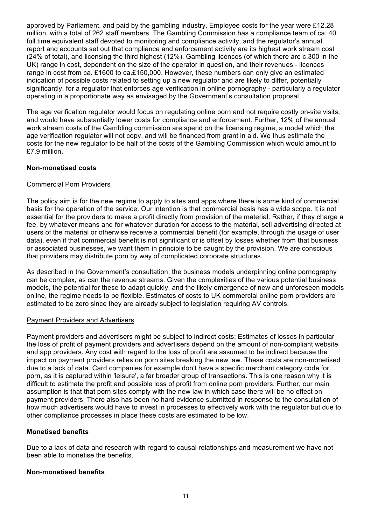approved by Parliament, and paid by the gambling industry. Employee costs for the year were £12.28 million, with a total of 262 staff members. The Gambling Commission has a compliance team of ca. 40 full time equivalent staff devoted to monitoring and compliance activity, and the regulator's annual report and accounts set out that compliance and enforcement activity are its highest work stream cost (24% of total), and licensing the third highest (12%). Gambling licences (of which there are c.300 in the UK) range in cost, dependent on the size of the operator in question, and their revenues - licences range in cost from ca. £1600 to ca.£150,000. However, these numbers can only give an estimated indication of possible costs related to setting up a new regulator and are likely to differ, potentially significantly, for a regulator that enforces age verification in online pornography - particularly a regulator operating in a proportionate way as envisaged by the Government's consultation proposal.

The age verification regulator would focus on regulating online porn and not require costly on-site visits, and would have substantially lower costs for compliance and enforcement. Further, 12% of the annual work stream costs of the Gambling commission are spend on the licensing regime, a model which the age verification regulator will not copy, and will be financed from grant in aid. We thus estimate the costs for the new regulator to be half of the costs of the Gambling Commission which would amount to £7.9 million.

#### **Non-monetised costs**

#### Commercial Porn Providers

The policy aim is for the new regime to apply to sites and apps where there is some kind of commercial basis for the operation of the service. Our intention is that commercial basis has a wide scope. It is not essential for the providers to make a profit directly from provision of the material. Rather, if they charge a fee, by whatever means and for whatever duration for access to the material, sell advertising directed at users of the material or otherwise receive a commercial benefit (for example, through the usage of user data), even if that commercial benefit is not significant or is offset by losses whether from that business or associated businesses, we want them in principle to be caught by the provision. We are conscious that providers may distribute porn by way of complicated corporate structures.

As described in the Government's consultation, the business models underpinning online pornography can be complex, as can the revenue streams. Given the complexities of the various potential business models, the potential for these to adapt quickly, and the likely emergence of new and unforeseen models online, the regime needs to be flexible. Estimates of costs to UK commercial online porn providers are estimated to be zero since they are already subject to legislation requiring AV controls.

#### Payment Providers and Advertisers

Payment providers and advertisers might be subject to indirect costs: Estimates of losses in particular the loss of profit of payment providers and advertisers depend on the amount of non-compliant website and app providers. Any cost with regard to the loss of profit are assumed to be indirect because the impact on payment providers relies on porn sites breaking the new law. These costs are non-monetised due to a lack of data. Card companies for example don't have a specific merchant category code for porn, as it is captured within 'leisure', a far broader group of transactions. This is one reason why it is difficult to estimate the profit and possible loss of profit from online porn providers. Further, our main assumption is that that porn sites comply with the new law in which case there will be no effect on payment providers. There also has been no hard evidence submitted in response to the consultation of how much advertisers would have to invest in processes to effectively work with the regulator but due to other compliance processes in place these costs are estimated to be low.

# **Monetised benefits**

Due to a lack of data and research with regard to causal relationships and measurement we have not been able to monetise the benefits.

#### **Non-monetised benefits**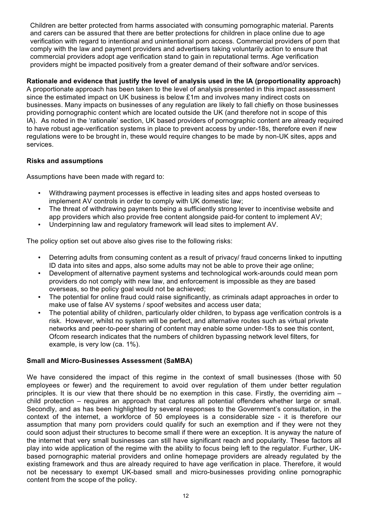Children are better protected from harms associated with consuming pornographic material. Parents and carers can be assured that there are better protections for children in place online due to age verification with regard to intentional and unintentional porn access. Commercial providers of porn that comply with the law and payment providers and advertisers taking voluntarily action to ensure that commercial providers adopt age verification stand to gain in reputational terms. Age verification providers might be impacted positively from a greater demand of their software and/or services.

### **Rationale and evidence that justify the level of analysis used in the IA (proportionality approach)**

A proportionate approach has been taken to the level of analysis presented in this impact assessment since the estimated impact on UK business is below £1m and involves many indirect costs on businesses. Many impacts on businesses of any regulation are likely to fall chiefly on those businesses providing pornographic content which are located outside the UK (and therefore not in scope of this IA). As noted in the 'rationale' section, UK based providers of pornographic content are already required to have robust age-verification systems in place to prevent access by under-18s, therefore even if new regulations were to be brought in, these would require changes to be made by non-UK sites, apps and services.

#### **Risks and assumptions**

Assumptions have been made with regard to:

- Withdrawing payment processes is effective in leading sites and apps hosted overseas to implement AV controls in order to comply with UK domestic law;
- The threat of withdrawing payments being a sufficiently strong lever to incentivise website and app providers which also provide free content alongside paid-for content to implement AV;
- Underpinning law and regulatory framework will lead sites to implement AV.

The policy option set out above also gives rise to the following risks:

- Deterring adults from consuming content as a result of privacy/ fraud concerns linked to inputting ID data into sites and apps, also some adults may not be able to prove their age online;
- Development of alternative payment systems and technological work-arounds could mean porn providers do not comply with new law, and enforcement is impossible as they are based overseas, so the policy goal would not be achieved;
- The potential for online fraud could raise significantly, as criminals adapt approaches in order to make use of false AV systems / spoof websites and access user data;
- The potential ability of children, particularly older children, to bypass age verification controls is a risk. However, whilst no system will be perfect, and alternative routes such as virtual private networks and peer-to-peer sharing of content may enable some under-18s to see this content, Ofcom research indicates that the numbers of children bypassing network level filters, for example, is very low (ca. 1%).

#### **Small and Micro-Businesses Assessment (SaMBA)**

We have considered the impact of this regime in the context of small businesses (those with 50 employees or fewer) and the requirement to avoid over regulation of them under better regulation principles. It is our view that there should be no exemption in this case. Firstly, the overriding aim – child protection – requires an approach that captures all potential offenders whether large or small. Secondly, and as has been highlighted by several responses to the Government's consultation, in the context of the internet, a workforce of 50 employees is a considerable size - it is therefore our assumption that many porn providers could qualify for such an exemption and if they were not they could soon adjust their structures to become small if there were an exception. It is anyway the nature of the internet that very small businesses can still have significant reach and popularity. These factors all play into wide application of the regime with the ability to focus being left to the regulator. Further, UKbased pornographic material providers and online homepage providers are already regulated by the existing framework and thus are already required to have age verification in place. Therefore, it would not be necessary to exempt UK-based small and micro-businesses providing online pornographic content from the scope of the policy.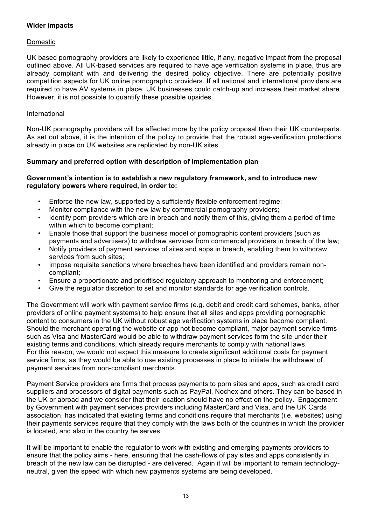#### **Wider impacts**

#### Domestic

UK based pornography providers are likely to experience little, if any, negative impact from the proposal outlined above. All UK-based services are required to have age verification systems in place, thus are already compliant with and delivering the desired policy objective. There are potentially positive competition aspects for UK online pornographic providers. If all national and international providers are required to have AV systems in place, UK businesses could catch-up and increase their market share. However, it is not possible to quantify these possible upsides.

#### International

Non-UK pornography providers will be affected more by the policy proposal than their UK counterparts. As set out above, it is the intention of the policy to provide that the robust age-verification protections already in place on UK websites are replicated by non-UK sites.

#### **Summary and preferred option with description of implementation plan**

#### **Government's intention is to establish a new regulatory framework, and to introduce new regulatory powers where required, in order to:**

- Enforce the new law, supported by a sufficiently flexible enforcement regime;
- Monitor compliance with the new law by commercial pornography providers;
- Identify porn providers which are in breach and notify them of this, giving them a period of time within which to become compliant;
- Enable those that support the business model of pornographic content providers (such as payments and advertisers) to withdraw services from commercial providers in breach of the law;
- Notify providers of payment services of sites and apps in breach, enabling them to withdraw services from such sites;
- Impose requisite sanctions where breaches have been identified and providers remain noncompliant;
- Ensure a proportionate and prioritised regulatory approach to monitoring and enforcement;
- Give the regulator discretion to set and monitor standards for age verification controls.

The Government will work with payment service firms (e.g. debit and credit card schemes, banks, other providers of online payment systems) to help ensure that all sites and apps providing pornographic content to consumers in the UK without robust age verification systems in place become compliant. Should the merchant operating the website or app not become compliant, major payment service firms such as Visa and MasterCard would be able to withdraw payment services form the site under their existing terms and conditions, which already require merchants to comply with national laws. For this reason, we would not expect this measure to create significant additional costs for payment service firms, as they would be able to use existing processes in place to initiate the withdrawal of payment services from non-compliant merchants.

Payment Service providers are firms that process payments to porn sites and apps, such as credit card suppliers and processors of digital payments such as PayPal, Nochex and others. They can be based in the UK or abroad and we consider that their location should have no effect on the policy. Engagement by Government with payment services providers including MasterCard and Visa, and the UK Cards association, has indicated that existing terms and conditions require that merchants (i.e. websites) using their payments services require that they comply with the laws both of the countries in which the provider is located, and also in the country he serves.

It will be important to enable the regulator to work with existing and emerging payments providers to ensure that the policy aims - here, ensuring that the cash-flows of pay sites and apps consistently in breach of the new law can be disrupted - are delivered. Again it will be important to remain technologyneutral, given the speed with which new payments systems are being developed.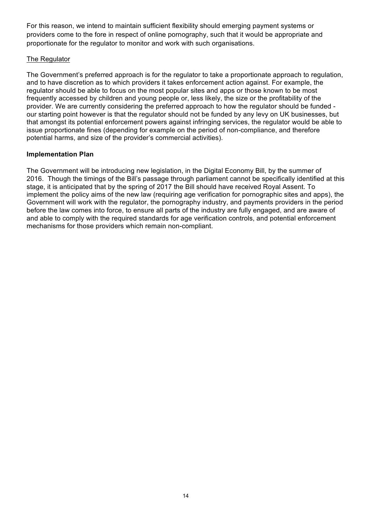For this reason, we intend to maintain sufficient flexibility should emerging payment systems or providers come to the fore in respect of online pornography, such that it would be appropriate and proportionate for the regulator to monitor and work with such organisations.

#### The Regulator

The Government's preferred approach is for the regulator to take a proportionate approach to regulation, and to have discretion as to which providers it takes enforcement action against. For example, the regulator should be able to focus on the most popular sites and apps or those known to be most frequently accessed by children and young people or, less likely, the size or the profitability of the provider. We are currently considering the preferred approach to how the regulator should be funded our starting point however is that the regulator should not be funded by any levy on UK businesses, but that amongst its potential enforcement powers against infringing services, the regulator would be able to issue proportionate fines (depending for example on the period of non-compliance, and therefore potential harms, and size of the provider's commercial activities).

#### **Implementation Plan**

The Government will be introducing new legislation, in the Digital Economy Bill, by the summer of 2016. Though the timings of the Bill's passage through parliament cannot be specifically identified at this stage, it is anticipated that by the spring of 2017 the Bill should have received Royal Assent. To implement the policy aims of the new law (requiring age verification for pornographic sites and apps), the Government will work with the regulator, the pornography industry, and payments providers in the period before the law comes into force, to ensure all parts of the industry are fully engaged, and are aware of and able to comply with the required standards for age verification controls, and potential enforcement mechanisms for those providers which remain non-compliant.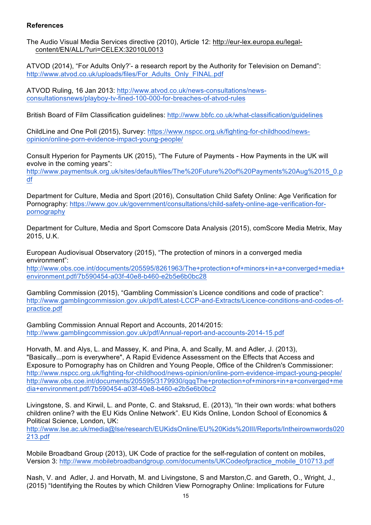#### **References**

The Audio Visual Media Services directive (2010), Article 12: http://eur-lex.europa.eu/legalcontent/EN/ALL/?uri=CELEX:32010L0013

ATVOD (2014), "For Adults Only?'- a research report by the Authority for Television on Demand": http://www.atvod.co.uk/uploads/files/For\_Adults\_Only\_FINAL.pdf

ATVOD Ruling, 16 Jan 2013: http://www.atvod.co.uk/news-consultations/newsconsultationsnews/playboy-tv-fined-100-000-for-breaches-of-atvod-rules

British Board of Film Classification guidelines: http://www.bbfc.co.uk/what-classification/guidelines

ChildLine and One Poll (2015), Survey: https://www.nspcc.org.uk/fighting-for-childhood/newsopinion/online-porn-evidence-impact-young-people/

Consult Hyperion for Payments UK (2015), "The Future of Payments - How Payments in the UK will evolve in the coming years":

http://www.paymentsuk.org.uk/sites/default/files/The%20Future%20of%20Payments%20Aug%2015\_0.p df

Department for Culture, Media and Sport (2016), Consultation Child Safety Online: Age Verification for Pornography: https://www.gov.uk/government/consultations/child-safety-online-age-verification-forpornography

Department for Culture, Media and Sport Comscore Data Analysis (2015), comScore Media Metrix, May 2015, U.K.

European Audiovisual Observatory (2015), "The protection of minors in a converged media environment":

http://www.obs.coe.int/documents/205595/8261963/The+protection+of+minors+in+a+converged+media+ environment.pdf/7b590454-a03f-40e8-b460-e2b5e6b0bc28

Gambling Commission (2015), "Gambling Commission's Licence conditions and code of practice": http://www.gamblingcommission.gov.uk/pdf/Latest-LCCP-and-Extracts/Licence-conditions-and-codes-ofpractice.pdf

Gambling Commission Annual Report and Accounts, 2014/2015: http://www.gamblingcommission.gov.uk/pdf/Annual-report-and-accounts-2014-15.pdf

Horvath, M. and Alys, L. and Massey, K. and Pina, A. and Scally, M. and Adler, J. (2013), "Basically...porn is everywhere", A Rapid Evidence Assessment on the Effects that Access and Exposure to Pornography has on Children and Young People, Office of the Children's Commissioner: http://www.nspcc.org.uk/fighting-for-childhood/news-opinion/online-porn-evidence-impact-young-people/ http://www.obs.coe.int/documents/205595/3179930/qqqThe+protection+of+minors+in+a+converged+me dia+environment.pdf/7b590454-a03f-40e8-b460-e2b5e6b0bc2

Livingstone, S. and Kirwil, L. and Ponte, C. and Staksrud, E. (2013), "In their own words: what bothers children online? with the EU Kids Online Network". EU Kids Online, London School of Economics & Political Science, London, UK:

http://www.lse.ac.uk/media@lse/research/EUKidsOnline/EU%20Kids%20III/Reports/Intheirownwords020 213.pdf

Mobile Broadband Group (2013), UK Code of practice for the self-regulation of content on mobiles, Version 3: http://www.mobilebroadbandgroup.com/documents/UKCodeofpractice\_mobile\_010713.pdf

Nash, V. and Adler, J. and Horvath, M. and Livingstone, S and Marston,C. and Gareth, O., Wright, J., (2015) "Identifying the Routes by which Children View Pornography Online: Implications for Future